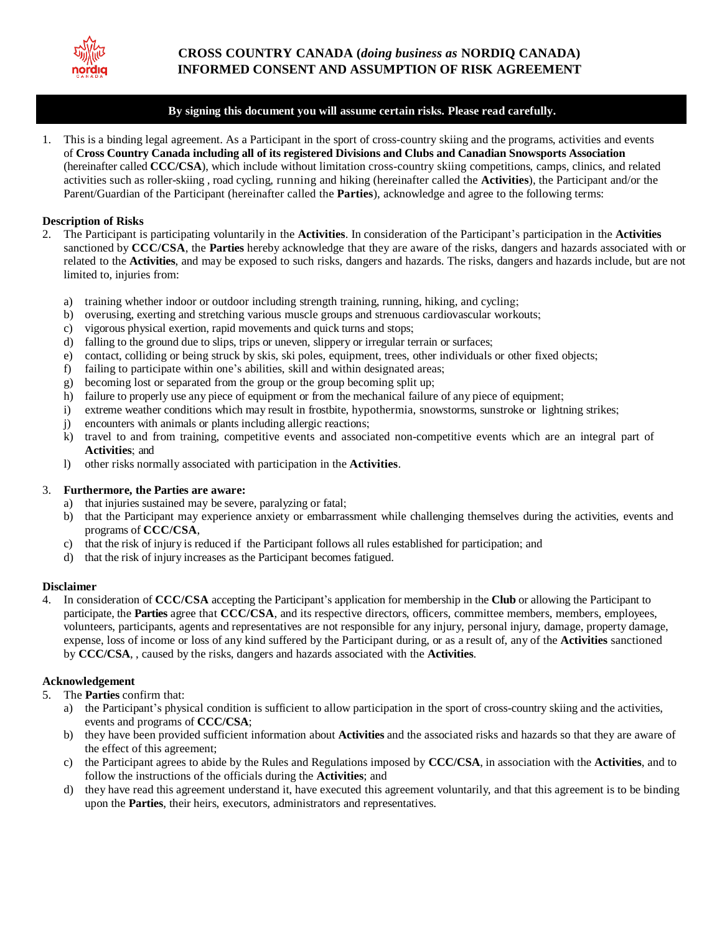

# **By signing this document you will assume certain risks. Please read carefully.**

1. This is a binding legal agreement. As a Participant in the sport of cross-country skiing and the programs, activities and events of **Cross Country Canada including all of its registered Divisions and Clubs and Canadian Snowsports Association** (hereinafter called **CCC/CSA**), which include without limitation cross-country skiing competitions, camps, clinics, and related activities such as roller-skiing , road cycling, running and hiking (hereinafter called the **Activities**), the Participant and/or the Parent/Guardian of the Participant (hereinafter called the **Parties**), acknowledge and agree to the following terms:

## **Description of Risks**

- 2. The Participant is participating voluntarily in the **Activities**. In consideration of the Participant's participation in the **Activities** sanctioned by **CCC/CSA**, the **Parties** hereby acknowledge that they are aware of the risks, dangers and hazards associated with or related to the **Activities**, and may be exposed to such risks, dangers and hazards. The risks, dangers and hazards include, but are not limited to, injuries from:
	- a) training whether indoor or outdoor including strength training, running, hiking, and cycling;
	- b) overusing, exerting and stretching various muscle groups and strenuous cardiovascular workouts;
	- c) vigorous physical exertion, rapid movements and quick turns and stops;
	- d) falling to the ground due to slips, trips or uneven, slippery or irregular terrain or surfaces;
	- e) contact, colliding or being struck by skis, ski poles, equipment, trees, other individuals or other fixed objects;
	- f) failing to participate within one's abilities, skill and within designated areas;
	- g) becoming lost or separated from the group or the group becoming split up;
	- h) failure to properly use any piece of equipment or from the mechanical failure of any piece of equipment;
	- i) extreme weather conditions which may result in frostbite, hypothermia, snowstorms, sunstroke or lightning strikes;
	- j) encounters with animals or plants including allergic reactions;
	- k) travel to and from training, competitive events and associated non-competitive events which are an integral part of **Activities**; and
	- l) other risks normally associated with participation in the **Activities**.

### 3. **Furthermore, the Parties are aware:**

- a) that injuries sustained may be severe, paralyzing or fatal;
- b) that the Participant may experience anxiety or embarrassment while challenging themselves during the activities, events and programs of **CCC/CSA**,
- c) that the risk of injury is reduced if the Participant follows all rules established for participation; and
- d) that the risk of injury increases as the Participant becomes fatigued.

#### **Disclaimer**

4. In consideration of **CCC/CSA** accepting the Participant's application for membership in the **Club** or allowing the Participant to participate, the **Parties** agree that **CCC/CSA**, and its respective directors, officers, committee members, members, employees, volunteers, participants, agents and representatives are not responsible for any injury, personal injury, damage, property damage, expense, loss of income or loss of any kind suffered by the Participant during, or as a result of, any of the **Activities** sanctioned by **CCC/CSA**, , caused by the risks, dangers and hazards associated with the **Activities**.

## **Acknowledgement**

- 5. The **Parties** confirm that:
	- a) the Participant's physical condition is sufficient to allow participation in the sport of cross-country skiing and the activities, events and programs of **CCC/CSA**;
	- b) they have been provided sufficient information about **Activities** and the associated risks and hazards so that they are aware of the effect of this agreement;
	- c) the Participant agrees to abide by the Rules and Regulations imposed by **CCC/CSA**, in association with the **Activities**, and to follow the instructions of the officials during the **Activities**; and
	- d) they have read this agreement understand it, have executed this agreement voluntarily, and that this agreement is to be binding upon the **Parties**, their heirs, executors, administrators and representatives.